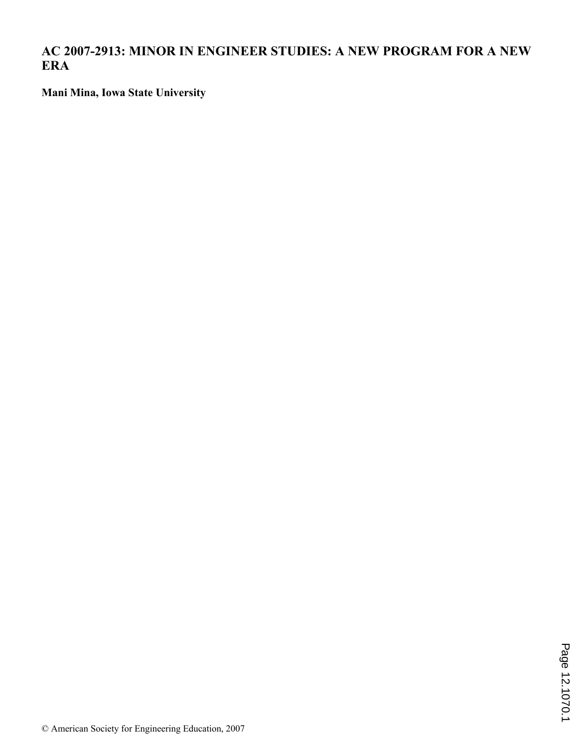**AC 2007-2913: MINOR IN ENGINEER STUDIES: A NEW PROGRAM FOR A NEW ERA**

**Mani Mina, Iowa State University**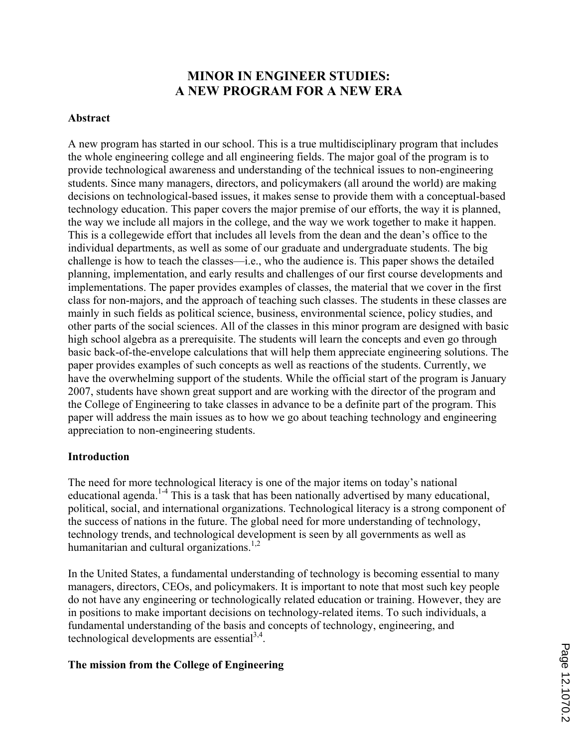# **MINOR IN ENGINEER STUDIES: A NEW PROGRAM FOR A NEW ERA**

## **Abstract**

A new program has started in our school. This is a true multidisciplinary program that includes the whole engineering college and all engineering fields. The major goal of the program is to provide technological awareness and understanding of the technical issues to non-engineering students. Since many managers, directors, and policymakers (all around the world) are making decisions on technological-based issues, it makes sense to provide them with a conceptual-based technology education. This paper covers the major premise of our efforts, the way it is planned, the way we include all majors in the college, and the way we work together to make it happen. This is a collegewide effort that includes all levels from the dean and the dean's office to the individual departments, as well as some of our graduate and undergraduate students. The big challenge is how to teach the classes—i.e., who the audience is. This paper shows the detailed planning, implementation, and early results and challenges of our first course developments and implementations. The paper provides examples of classes, the material that we cover in the first class for non-majors, and the approach of teaching such classes. The students in these classes are mainly in such fields as political science, business, environmental science, policy studies, and other parts of the social sciences. All of the classes in this minor program are designed with basic high school algebra as a prerequisite. The students will learn the concepts and even go through basic back-of-the-envelope calculations that will help them appreciate engineering solutions. The paper provides examples of such concepts as well as reactions of the students. Currently, we have the overwhelming support of the students. While the official start of the program is January 2007, students have shown great support and are working with the director of the program and the College of Engineering to take classes in advance to be a definite part of the program. This paper will address the main issues as to how we go about teaching technology and engineering appreciation to non-engineering students.

### **Introduction**

The need for more technological literacy is one of the major items on today's national educational agenda.<sup>1-4</sup> This is a task that has been nationally advertised by many educational, political, social, and international organizations. Technological literacy is a strong component of the success of nations in the future. The global need for more understanding of technology, technology trends, and technological development is seen by all governments as well as humanitarian and cultural organizations.<sup>1,2</sup>

In the United States, a fundamental understanding of technology is becoming essential to many managers, directors, CEOs, and policymakers. It is important to note that most such key people do not have any engineering or technologically related education or training. However, they are in positions to make important decisions on technology-related items. To such individuals, a fundamental understanding of the basis and concepts of technology, engineering, and technological developments are essential $3,4$ .

# **The mission from the College of Engineering**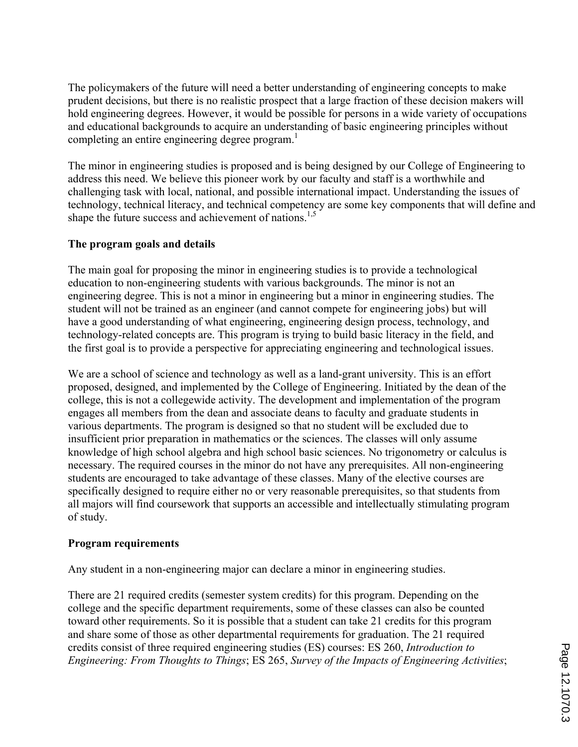The policymakers of the future will need a better understanding of engineering concepts to make prudent decisions, but there is no realistic prospect that a large fraction of these decision makers will hold engineering degrees. However, it would be possible for persons in a wide variety of occupations and educational backgrounds to acquire an understanding of basic engineering principles without completing an entire engineering degree program.<sup>1</sup>

The minor in engineering studies is proposed and is being designed by our College of Engineering to address this need. We believe this pioneer work by our faculty and staff is a worthwhile and challenging task with local, national, and possible international impact. Understanding the issues of technology, technical literacy, and technical competency are some key components that will define and shape the future success and achievement of nations.<sup>1,5</sup>

# **The program goals and details**

The main goal for proposing the minor in engineering studies is to provide a technological education to non-engineering students with various backgrounds. The minor is not an engineering degree. This is not a minor in engineering but a minor in engineering studies. The student will not be trained as an engineer (and cannot compete for engineering jobs) but will have a good understanding of what engineering, engineering design process, technology, and technology-related concepts are. This program is trying to build basic literacy in the field, and the first goal is to provide a perspective for appreciating engineering and technological issues.

We are a school of science and technology as well as a land-grant university. This is an effort proposed, designed, and implemented by the College of Engineering. Initiated by the dean of the college, this is not a collegewide activity. The development and implementation of the program engages all members from the dean and associate deans to faculty and graduate students in various departments. The program is designed so that no student will be excluded due to insufficient prior preparation in mathematics or the sciences. The classes will only assume knowledge of high school algebra and high school basic sciences. No trigonometry or calculus is necessary. The required courses in the minor do not have any prerequisites. All non-engineering students are encouraged to take advantage of these classes. Many of the elective courses are specifically designed to require either no or very reasonable prerequisites, so that students from all majors will find coursework that supports an accessible and intellectually stimulating program of study.

# **Program requirements**

Any student in a non-engineering major can declare a minor in engineering studies.

There are 21 required credits (semester system credits) for this program. Depending on the college and the specific department requirements, some of these classes can also be counted toward other requirements. So it is possible that a student can take 21 credits for this program and share some of those as other departmental requirements for graduation. The 21 required credits consist of three required engineering studies (ES) courses: ES 260, *Introduction to Engineering: From Thoughts to Things*; ES 265, *Survey of the Impacts of Engineering Activities*;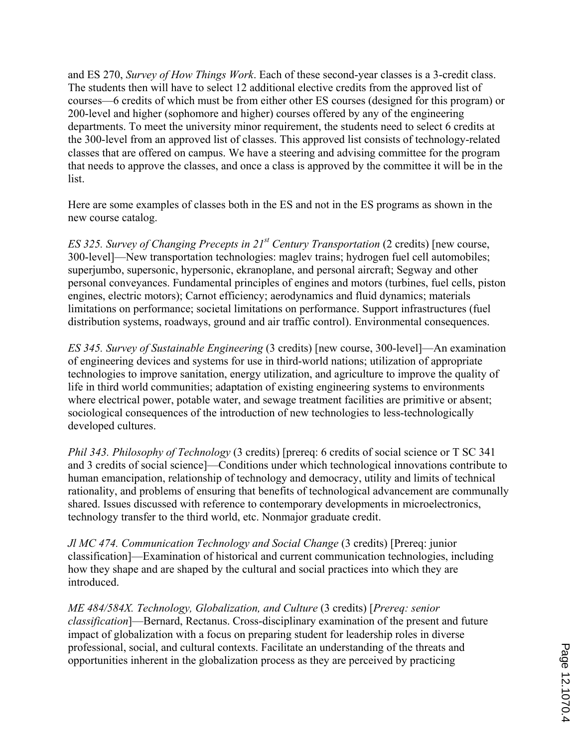and ES 270, *Survey of How Things Work*. Each of these second-year classes is a 3-credit class. The students then will have to select 12 additional elective credits from the approved list of courses—6 credits of which must be from either other ES courses (designed for this program) or 200-level and higher (sophomore and higher) courses offered by any of the engineering departments. To meet the university minor requirement, the students need to select 6 credits at the 300-level from an approved list of classes. This approved list consists of technology-related classes that are offered on campus. We have a steering and advising committee for the program that needs to approve the classes, and once a class is approved by the committee it will be in the list.

Here are some examples of classes both in the ES and not in the ES programs as shown in the new course catalog.

*ES 325. Survey of Changing Precepts in 21st Century Transportation* (2 credits) [new course, 300-level]—New transportation technologies: maglev trains; hydrogen fuel cell automobiles; superjumbo, supersonic, hypersonic, ekranoplane, and personal aircraft; Segway and other personal conveyances. Fundamental principles of engines and motors (turbines, fuel cells, piston engines, electric motors); Carnot efficiency; aerodynamics and fluid dynamics; materials limitations on performance; societal limitations on performance. Support infrastructures (fuel distribution systems, roadways, ground and air traffic control). Environmental consequences.

*ES 345. Survey of Sustainable Engineering* (3 credits) [new course, 300-level]—An examination of engineering devices and systems for use in third-world nations; utilization of appropriate technologies to improve sanitation, energy utilization, and agriculture to improve the quality of life in third world communities; adaptation of existing engineering systems to environments where electrical power, potable water, and sewage treatment facilities are primitive or absent; sociological consequences of the introduction of new technologies to less-technologically developed cultures.

*Phil 343. Philosophy of Technology* (3 credits) [prereq: 6 credits of social science or T SC 341 and 3 credits of social science]—Conditions under which technological innovations contribute to human emancipation, relationship of technology and democracy, utility and limits of technical rationality, and problems of ensuring that benefits of technological advancement are communally shared. Issues discussed with reference to contemporary developments in microelectronics, technology transfer to the third world, etc. Nonmajor graduate credit.

*Jl MC 474. Communication Technology and Social Change* (3 credits) [Prereq: junior classification]—Examination of historical and current communication technologies, including how they shape and are shaped by the cultural and social practices into which they are introduced.

*ME 484/584X. Technology, Globalization, and Culture* (3 credits) [*Prereq: senior classification*]—Bernard, Rectanus. Cross-disciplinary examination of the present and future impact of globalization with a focus on preparing student for leadership roles in diverse professional, social, and cultural contexts. Facilitate an understanding of the threats and opportunities inherent in the globalization process as they are perceived by practicing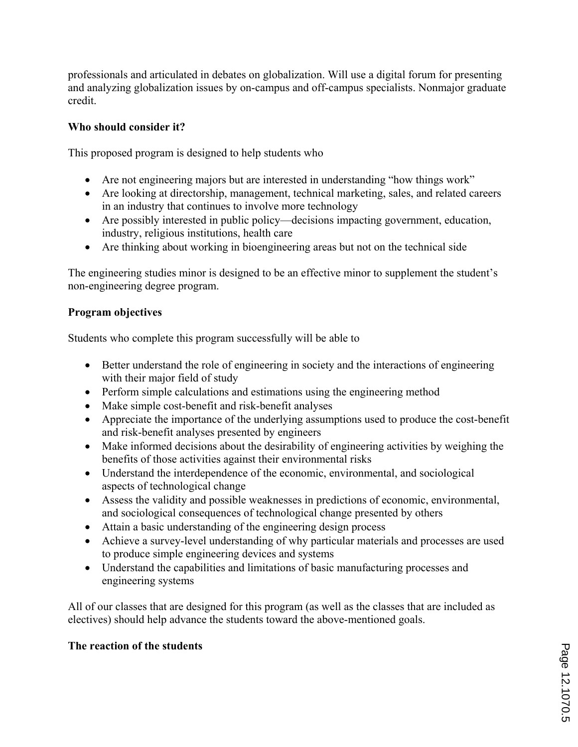professionals and articulated in debates on globalization. Will use a digital forum for presenting and analyzing globalization issues by on-campus and off-campus specialists. Nonmajor graduate credit.

# **Who should consider it?**

This proposed program is designed to help students who

- ' Are not engineering majors but are interested in understanding "how things work"
- ' Are looking at directorship, management, technical marketing, sales, and related careers in an industry that continues to involve more technology
- ' Are possibly interested in public policy—decisions impacting government, education, industry, religious institutions, health care
- ' Are thinking about working in bioengineering areas but not on the technical side

The engineering studies minor is designed to be an effective minor to supplement the student's non-engineering degree program.

# **Program objectives**

Students who complete this program successfully will be able to

- ' Better understand the role of engineering in society and the interactions of engineering with their major field of study
- ' Perform simple calculations and estimations using the engineering method
- ' Make simple cost-benefit and risk-benefit analyses
- ' Appreciate the importance of the underlying assumptions used to produce the cost-benefit and risk-benefit analyses presented by engineers
- ' Make informed decisions about the desirability of engineering activities by weighing the benefits of those activities against their environmental risks
- ' Understand the interdependence of the economic, environmental, and sociological aspects of technological change
- ' Assess the validity and possible weaknesses in predictions of economic, environmental, and sociological consequences of technological change presented by others
- ' Attain a basic understanding of the engineering design process
- ' Achieve a survey-level understanding of why particular materials and processes are used to produce simple engineering devices and systems
- ' Understand the capabilities and limitations of basic manufacturing processes and engineering systems

All of our classes that are designed for this program (as well as the classes that are included as electives) should help advance the students toward the above-mentioned goals.

# **The reaction of the students**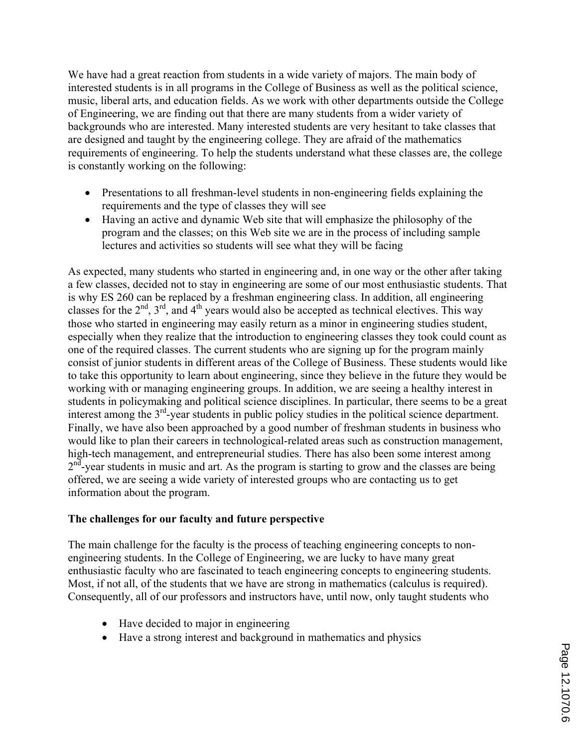We have had a great reaction from students in a wide variety of majors. The main body of interested students is in all programs in the College of Business as well as the political science, music, liberal arts, and education fields. As we work with other departments outside the College of Engineering, we are finding out that there are many students from a wider variety of backgrounds who are interested. Many interested students are very hesitant to take classes that are designed and taught by the engineering college. They are afraid of the mathematics requirements of engineering. To help the students understand what these classes are, the college is constantly working on the following:

- Presentations to all freshman-level students in non-engineering fields explaining the requirements and the type of classes they will see
- ' Having an active and dynamic Web site that will emphasize the philosophy of the program and the classes; on this Web site we are in the process of including sample lectures and activities so students will see what they will be facing

As expected, many students who started in engineering and, in one way or the other after taking a few classes, decided not to stay in engineering are some of our most enthusiastic students. That is why ES 260 can be replaced by a freshman engineering class. In addition, all engineering classes for the  $2<sup>nd</sup>$ ,  $3<sup>rd</sup>$ , and  $4<sup>th</sup>$  years would also be accepted as technical electives. This way those who started in engineering may easily return as a minor in engineering studies student, especially when they realize that the introduction to engineering classes they took could count as one of the required classes. The current students who are signing up for the program mainly consist of junior students in different areas of the College of Business. These students would like to take this opportunity to learn about engineering, since they believe in the future they would be working with or managing engineering groups. In addition, we are seeing a healthy interest in students in policymaking and political science disciplines. In particular, there seems to be a great interest among the  $3<sup>rd</sup>$ -year students in public policy studies in the political science department. Finally, we have also been approached by a good number of freshman students in business who would like to plan their careers in technological-related areas such as construction management, high-tech management, and entrepreneurial studies. There has also been some interest among  $2<sup>n</sup>$ -year students in music and art. As the program is starting to grow and the classes are being offered, we are seeing a wide variety of interested groups who are contacting us to get information about the program.

# **The challenges for our faculty and future perspective**

The main challenge for the faculty is the process of teaching engineering concepts to nonengineering students. In the College of Engineering, we are lucky to have many great enthusiastic faculty who are fascinated to teach engineering concepts to engineering students. Most, if not all, of the students that we have are strong in mathematics (calculus is required). Consequently, all of our professors and instructors have, until now, only taught students who

- ' Have decided to major in engineering
- ' Have a strong interest and background in mathematics and physics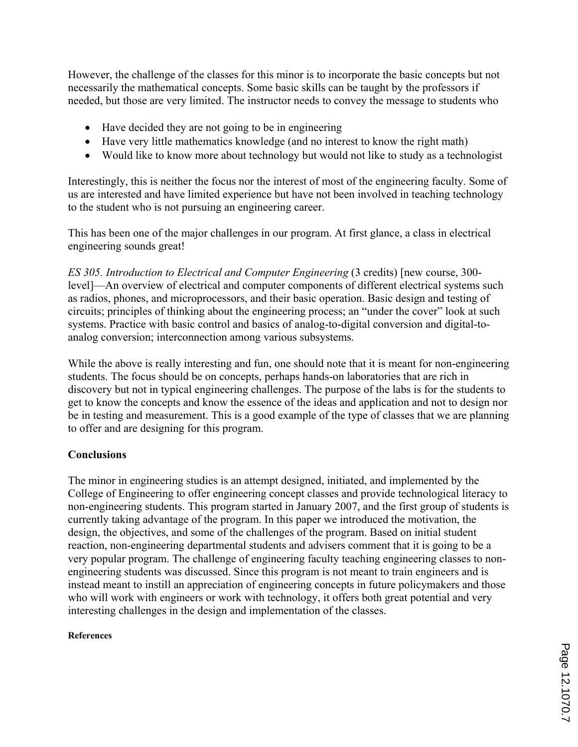However, the challenge of the classes for this minor is to incorporate the basic concepts but not necessarily the mathematical concepts. Some basic skills can be taught by the professors if needed, but those are very limited. The instructor needs to convey the message to students who

- ' Have decided they are not going to be in engineering
- ' Have very little mathematics knowledge (and no interest to know the right math)
- ' Would like to know more about technology but would not like to study as a technologist

Interestingly, this is neither the focus nor the interest of most of the engineering faculty. Some of us are interested and have limited experience but have not been involved in teaching technology to the student who is not pursuing an engineering career.

This has been one of the major challenges in our program. At first glance, a class in electrical engineering sounds great!

*ES 305. Introduction to Electrical and Computer Engineering* (3 credits) [new course, 300 level]—An overview of electrical and computer components of different electrical systems such as radios, phones, and microprocessors, and their basic operation. Basic design and testing of circuits; principles of thinking about the engineering process; an "under the cover" look at such systems. Practice with basic control and basics of analog-to-digital conversion and digital-toanalog conversion; interconnection among various subsystems.

While the above is really interesting and fun, one should note that it is meant for non-engineering students. The focus should be on concepts, perhaps hands-on laboratories that are rich in discovery but not in typical engineering challenges. The purpose of the labs is for the students to get to know the concepts and know the essence of the ideas and application and not to design nor be in testing and measurement. This is a good example of the type of classes that we are planning to offer and are designing for this program.

# **Conclusions**

The minor in engineering studies is an attempt designed, initiated, and implemented by the College of Engineering to offer engineering concept classes and provide technological literacy to non-engineering students. This program started in January 2007, and the first group of students is currently taking advantage of the program. In this paper we introduced the motivation, the design, the objectives, and some of the challenges of the program. Based on initial student reaction, non-engineering departmental students and advisers comment that it is going to be a very popular program. The challenge of engineering faculty teaching engineering classes to nonengineering students was discussed. Since this program is not meant to train engineers and is instead meant to instill an appreciation of engineering concepts in future policymakers and those who will work with engineers or work with technology, it offers both great potential and very interesting challenges in the design and implementation of the classes.

### **References**